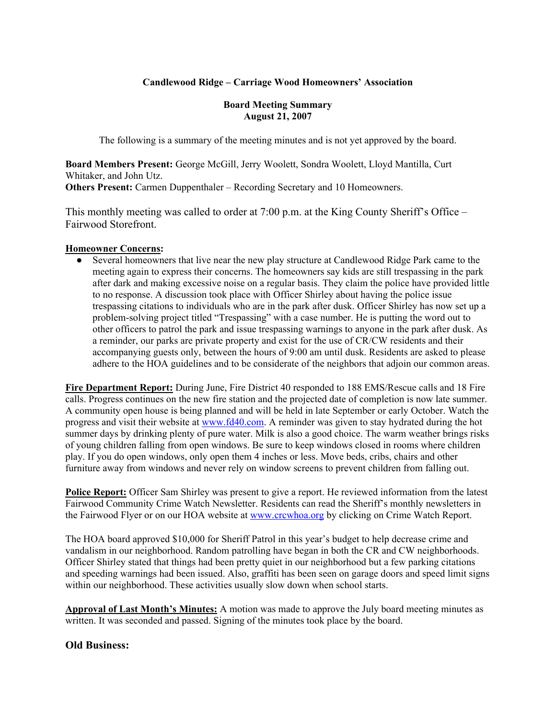## **Candlewood Ridge – Carriage Wood Homeowners' Association**

#### **Board Meeting Summary August 21, 2007**

The following is a summary of the meeting minutes and is not yet approved by the board.

**Board Members Present:** George McGill, Jerry Woolett, Sondra Woolett, Lloyd Mantilla, Curt Whitaker, and John Utz. **Others Present:** Carmen Duppenthaler – Recording Secretary and 10 Homeowners.

This monthly meeting was called to order at 7:00 p.m. at the King County Sheriff's Office – Fairwood Storefront.

#### **Homeowner Concerns:**

● Several homeowners that live near the new play structure at Candlewood Ridge Park came to the meeting again to express their concerns. The homeowners say kids are still trespassing in the park after dark and making excessive noise on a regular basis. They claim the police have provided little to no response. A discussion took place with Officer Shirley about having the police issue trespassing citations to individuals who are in the park after dusk. Officer Shirley has now set up a problem-solving project titled "Trespassing" with a case number. He is putting the word out to other officers to patrol the park and issue trespassing warnings to anyone in the park after dusk. As a reminder, our parks are private property and exist for the use of CR/CW residents and their accompanying guests only, between the hours of 9:00 am until dusk. Residents are asked to please adhere to the HOA guidelines and to be considerate of the neighbors that adjoin our common areas.

**Fire Department Report:** During June, Fire District 40 responded to 188 EMS/Rescue calls and 18 Fire calls. Progress continues on the new fire station and the projected date of completion is now late summer. A community open house is being planned and will be held in late September or early October. Watch the progress and visit their website at www.fd40.com. A reminder was given to stay hydrated during the hot summer days by drinking plenty of pure water. Milk is also a good choice. The warm weather brings risks of young children falling from open windows. Be sure to keep windows closed in rooms where children play. If you do open windows, only open them 4 inches or less. Move beds, cribs, chairs and other furniture away from windows and never rely on window screens to prevent children from falling out.

**Police Report:** Officer Sam Shirley was present to give a report. He reviewed information from the latest Fairwood Community Crime Watch Newsletter. Residents can read the Sheriff's monthly newsletters in the Fairwood Flyer or on our HOA website at www.crcwhoa.org by clicking on Crime Watch Report.

The HOA board approved \$10,000 for Sheriff Patrol in this year's budget to help decrease crime and vandalism in our neighborhood. Random patrolling have began in both the CR and CW neighborhoods. Officer Shirley stated that things had been pretty quiet in our neighborhood but a few parking citations and speeding warnings had been issued. Also, graffiti has been seen on garage doors and speed limit signs within our neighborhood. These activities usually slow down when school starts.

**Approval of Last Month's Minutes:** A motion was made to approve the July board meeting minutes as written. It was seconded and passed. Signing of the minutes took place by the board.

### **Old Business:**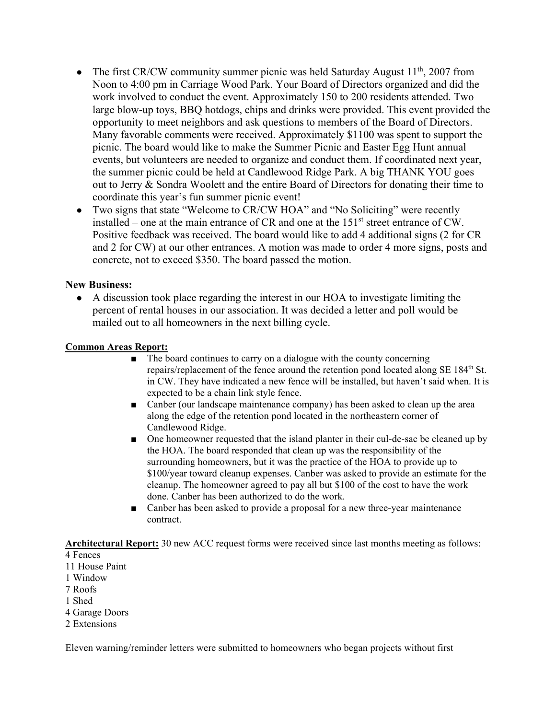- The first CR/CW community summer picnic was held Saturday August  $11^{th}$ , 2007 from Noon to 4:00 pm in Carriage Wood Park. Your Board of Directors organized and did the work involved to conduct the event. Approximately 150 to 200 residents attended. Two large blow-up toys, BBQ hotdogs, chips and drinks were provided. This event provided the opportunity to meet neighbors and ask questions to members of the Board of Directors. Many favorable comments were received. Approximately \$1100 was spent to support the picnic. The board would like to make the Summer Picnic and Easter Egg Hunt annual events, but volunteers are needed to organize and conduct them. If coordinated next year, the summer picnic could be held at Candlewood Ridge Park. A big THANK YOU goes out to Jerry & Sondra Woolett and the entire Board of Directors for donating their time to coordinate this year's fun summer picnic event!
- Two signs that state "Welcome to CR/CW HOA" and "No Soliciting" were recently installed – one at the main entrance of CR and one at the  $151<sup>st</sup>$  street entrance of CW. Positive feedback was received. The board would like to add 4 additional signs (2 for CR and 2 for CW) at our other entrances. A motion was made to order 4 more signs, posts and concrete, not to exceed \$350. The board passed the motion.

### **New Business:**

● A discussion took place regarding the interest in our HOA to investigate limiting the percent of rental houses in our association. It was decided a letter and poll would be mailed out to all homeowners in the next billing cycle.

### **Common Areas Report:**

- The board continues to carry on a dialogue with the county concerning repairs/replacement of the fence around the retention pond located along SE 184<sup>th</sup> St. in CW. They have indicated a new fence will be installed, but haven't said when. It is expected to be a chain link style fence.
- Canber (our landscape maintenance company) has been asked to clean up the area along the edge of the retention pond located in the northeastern corner of Candlewood Ridge.
- One homeowner requested that the island planter in their cul-de-sac be cleaned up by the HOA. The board responded that clean up was the responsibility of the surrounding homeowners, but it was the practice of the HOA to provide up to \$100/year toward cleanup expenses. Canber was asked to provide an estimate for the cleanup. The homeowner agreed to pay all but \$100 of the cost to have the work done. Canber has been authorized to do the work.
- Canber has been asked to provide a proposal for a new three-year maintenance contract.

**Architectural Report:** 30 new ACC request forms were received since last months meeting as follows:

- 4 Fences
- 11 House Paint
- 1 Window
- 7 Roofs
- 1 Shed
- 4 Garage Doors
- 2 Extensions

Eleven warning/reminder letters were submitted to homeowners who began projects without first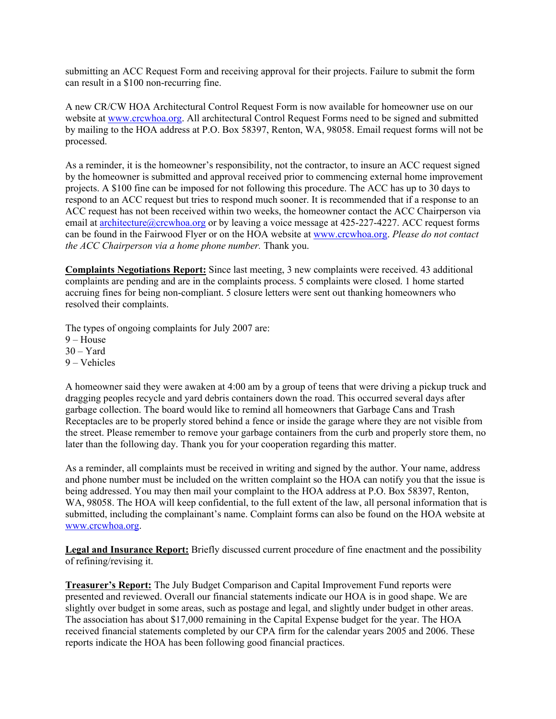submitting an ACC Request Form and receiving approval for their projects. Failure to submit the form can result in a \$100 non-recurring fine.

A new CR/CW HOA Architectural Control Request Form is now available for homeowner use on our website at www.crcwhoa.org. All architectural Control Request Forms need to be signed and submitted by mailing to the HOA address at P.O. Box 58397, Renton, WA, 98058. Email request forms will not be processed.

As a reminder, it is the homeowner's responsibility, not the contractor, to insure an ACC request signed by the homeowner is submitted and approval received prior to commencing external home improvement projects. A \$100 fine can be imposed for not following this procedure. The ACC has up to 30 days to respond to an ACC request but tries to respond much sooner. It is recommended that if a response to an ACC request has not been received within two weeks, the homeowner contact the ACC Chairperson via email at architecture@crcwhoa.org or by leaving a voice message at 425-227-4227. ACC request forms can be found in the Fairwood Flyer or on the HOA website at www.crcwhoa.org. *Please do not contact the ACC Chairperson via a home phone number.* Thank you.

**Complaints Negotiations Report:** Since last meeting, 3 new complaints were received. 43 additional complaints are pending and are in the complaints process. 5 complaints were closed. 1 home started accruing fines for being non-compliant. 5 closure letters were sent out thanking homeowners who resolved their complaints.

The types of ongoing complaints for July 2007 are: 9 – House  $30 - Yard$ 9 – Vehicles

A homeowner said they were awaken at 4:00 am by a group of teens that were driving a pickup truck and dragging peoples recycle and yard debris containers down the road. This occurred several days after garbage collection. The board would like to remind all homeowners that Garbage Cans and Trash Receptacles are to be properly stored behind a fence or inside the garage where they are not visible from the street. Please remember to remove your garbage containers from the curb and properly store them, no later than the following day. Thank you for your cooperation regarding this matter.

As a reminder, all complaints must be received in writing and signed by the author. Your name, address and phone number must be included on the written complaint so the HOA can notify you that the issue is being addressed. You may then mail your complaint to the HOA address at P.O. Box 58397, Renton, WA, 98058. The HOA will keep confidential, to the full extent of the law, all personal information that is submitted, including the complainant's name. Complaint forms can also be found on the HOA website at www.crcwhoa.org.

**Legal and Insurance Report:** Briefly discussed current procedure of fine enactment and the possibility of refining/revising it.

**Treasurer's Report:** The July Budget Comparison and Capital Improvement Fund reports were presented and reviewed. Overall our financial statements indicate our HOA is in good shape. We are slightly over budget in some areas, such as postage and legal, and slightly under budget in other areas. The association has about \$17,000 remaining in the Capital Expense budget for the year. The HOA received financial statements completed by our CPA firm for the calendar years 2005 and 2006. These reports indicate the HOA has been following good financial practices.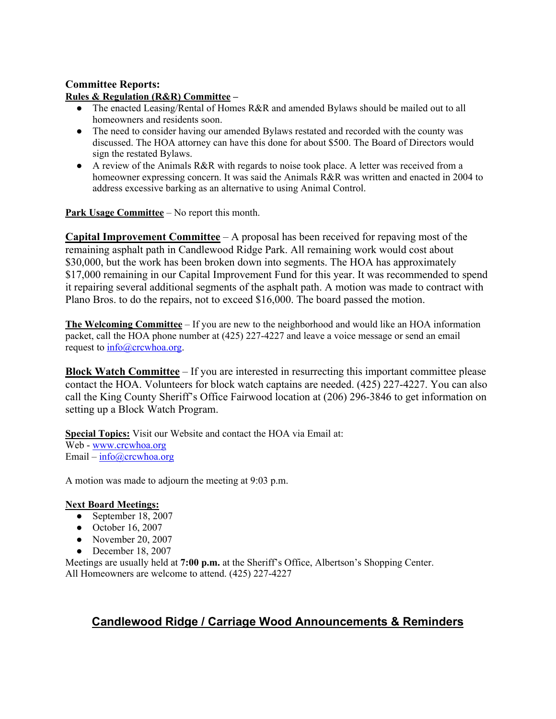# **Committee Reports:**

#### **Rules & Regulation (R&R) Committee –**

- The enacted Leasing/Rental of Homes R&R and amended Bylaws should be mailed out to all homeowners and residents soon.
- The need to consider having our amended Bylaws restated and recorded with the county was discussed. The HOA attorney can have this done for about \$500. The Board of Directors would sign the restated Bylaws.
- A review of the Animals R&R with regards to noise took place. A letter was received from a homeowner expressing concern. It was said the Animals R&R was written and enacted in 2004 to address excessive barking as an alternative to using Animal Control.

**Park Usage Committee** – No report this month.

**Capital Improvement Committee** – A proposal has been received for repaving most of the remaining asphalt path in Candlewood Ridge Park. All remaining work would cost about \$30,000, but the work has been broken down into segments. The HOA has approximately \$17,000 remaining in our Capital Improvement Fund for this year. It was recommended to spend it repairing several additional segments of the asphalt path. A motion was made to contract with Plano Bros. to do the repairs, not to exceed \$16,000. The board passed the motion.

**The Welcoming Committee** – If you are new to the neighborhood and would like an HOA information packet, call the HOA phone number at (425) 227-4227 and leave a voice message or send an email request to  $\frac{info@crcwhoa.org}{}$ .

**Block Watch Committee** – If you are interested in resurrecting this important committee please contact the HOA. Volunteers for block watch captains are needed. (425) 227-4227. You can also call the King County Sheriff's Office Fairwood location at (206) 296-3846 to get information on setting up a Block Watch Program.

**Special Topics:** Visit our Website and contact the HOA via Email at: Web - www.crcwhoa.org Email –  $info@crcwhoa.org$ 

A motion was made to adjourn the meeting at 9:03 p.m.

### **Next Board Meetings:**

- September 18, 2007
- October 16, 2007
- November 20, 2007
- $\bullet$  December 18, 2007

Meetings are usually held at **7:00 p.m.** at the Sheriff's Office, Albertson's Shopping Center. All Homeowners are welcome to attend. (425) 227-4227

# **Candlewood Ridge / Carriage Wood Announcements & Reminders**